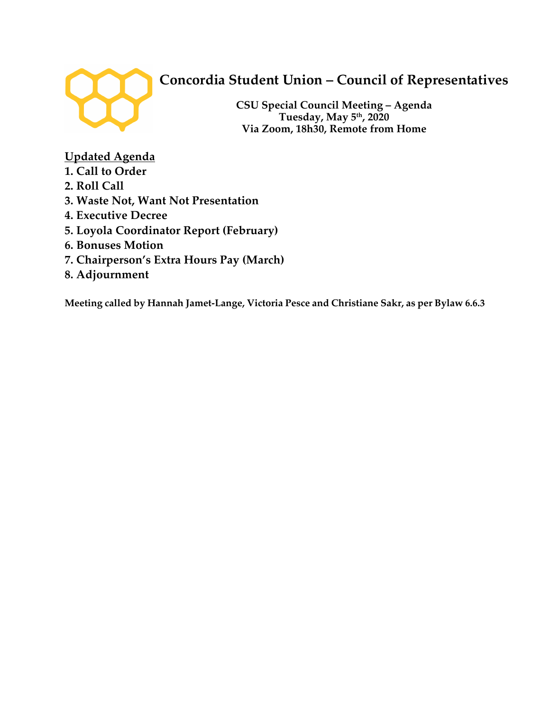

# **Concordia Student Union – Council of Representatives**

**CSU Special Council Meeting – Agenda Tuesday, May 5th, 2020 Via Zoom, 18h30, Remote from Home** 

**Updated Agenda**

- **1. Call to Order**
- **2. Roll Call**
- **3. Waste Not, Want Not Presentation**
- **4. Executive Decree**
- **5. Loyola Coordinator Report (February)**
- **6. Bonuses Motion**
- **7. Chairperson's Extra Hours Pay (March)**
- **8. Adjournment**

**Meeting called by Hannah Jamet-Lange, Victoria Pesce and Christiane Sakr, as per Bylaw 6.6.3**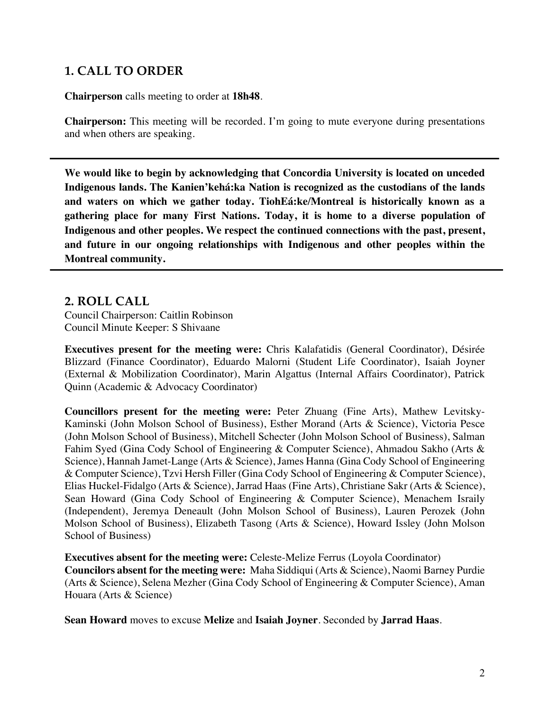## **1. CALL TO ORDER**

**Chairperson** calls meeting to order at **18h48**.

**Chairperson:** This meeting will be recorded. I'm going to mute everyone during presentations and when others are speaking.

**We would like to begin by acknowledging that Concordia University is located on unceded Indigenous lands. The Kanien'kehá:ka Nation is recognized as the custodians of the lands and waters on which we gather today. TiohEá:ke/Montreal is historically known as a gathering place for many First Nations. Today, it is home to a diverse population of Indigenous and other peoples. We respect the continued connections with the past, present, and future in our ongoing relationships with Indigenous and other peoples within the Montreal community.**

### **2. ROLL CALL**

Council Chairperson: Caitlin Robinson Council Minute Keeper: S Shivaane

**Executives present for the meeting were:** Chris Kalafatidis (General Coordinator), Désirée Blizzard (Finance Coordinator), Eduardo Malorni (Student Life Coordinator), Isaiah Joyner (External & Mobilization Coordinator), Marin Algattus (Internal Affairs Coordinator), Patrick Quinn (Academic & Advocacy Coordinator)

**Councillors present for the meeting were:** Peter Zhuang (Fine Arts), Mathew Levitsky-Kaminski (John Molson School of Business), Esther Morand (Arts & Science), Victoria Pesce (John Molson School of Business), Mitchell Schecter (John Molson School of Business), Salman Fahim Syed (Gina Cody School of Engineering & Computer Science), Ahmadou Sakho (Arts & Science), Hannah Jamet-Lange (Arts & Science), James Hanna (Gina Cody School of Engineering & Computer Science), Tzvi Hersh Filler (Gina Cody School of Engineering & Computer Science), Elias Huckel-Fidalgo (Arts & Science), Jarrad Haas (Fine Arts), Christiane Sakr (Arts & Science), Sean Howard (Gina Cody School of Engineering & Computer Science), Menachem Israily (Independent), Jeremya Deneault (John Molson School of Business), Lauren Perozek (John Molson School of Business), Elizabeth Tasong (Arts & Science), Howard Issley (John Molson School of Business)

**Executives absent for the meeting were:** Celeste-Melize Ferrus (Loyola Coordinator) **Councilors absent for the meeting were:** Maha Siddiqui (Arts & Science), Naomi Barney Purdie (Arts & Science), Selena Mezher (Gina Cody School of Engineering & Computer Science), Aman Houara (Arts & Science)

**Sean Howard** moves to excuse **Melize** and **Isaiah Joyner**. Seconded by **Jarrad Haas**.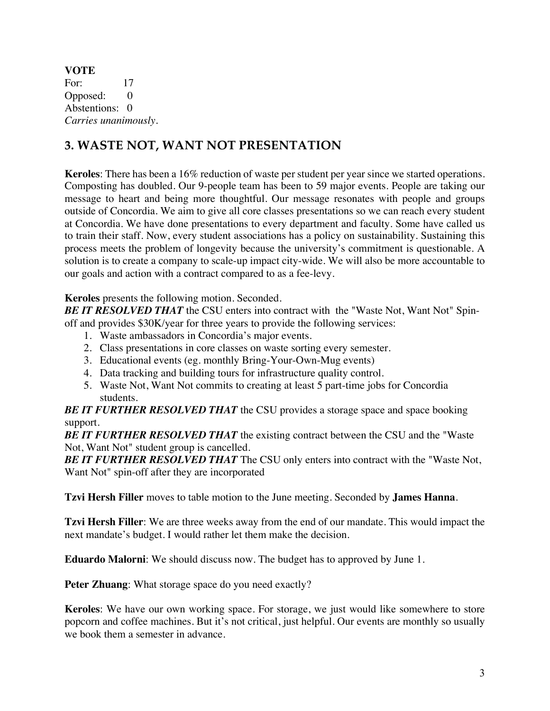**VOTE** For: 17 Opposed: 0 Abstentions: 0 *Carries unanimously.* 

## **3. WASTE NOT, WANT NOT PRESENTATION**

**Keroles**: There has been a 16% reduction of waste per student per year since we started operations. Composting has doubled. Our 9-people team has been to 59 major events. People are taking our message to heart and being more thoughtful. Our message resonates with people and groups outside of Concordia. We aim to give all core classes presentations so we can reach every student at Concordia. We have done presentations to every department and faculty. Some have called us to train their staff. Now, every student associations has a policy on sustainability. Sustaining this process meets the problem of longevity because the university's commitment is questionable. A solution is to create a company to scale-up impact city-wide. We will also be more accountable to our goals and action with a contract compared to as a fee-levy.

### **Keroles** presents the following motion. Seconded.

**BE IT RESOLVED THAT** the CSU enters into contract with the "Waste Not, Want Not" Spinoff and provides \$30K/year for three years to provide the following services:

- 1. Waste ambassadors in Concordia's major events.
- 2. Class presentations in core classes on waste sorting every semester.
- 3. Educational events (eg. monthly Bring-Your-Own-Mug events)
- 4. Data tracking and building tours for infrastructure quality control.
- 5. Waste Not, Want Not commits to creating at least 5 part-time jobs for Concordia students.

*BE IT FURTHER RESOLVED THAT* the CSU provides a storage space and space booking support.

*BE IT FURTHER RESOLVED THAT* the existing contract between the CSU and the "Waste Not, Want Not" student group is cancelled.

**BE IT FURTHER RESOLVED THAT** The CSU only enters into contract with the "Waste Not, Want Not" spin-off after they are incorporated

**Tzvi Hersh Filler** moves to table motion to the June meeting. Seconded by **James Hanna**.

**Tzvi Hersh Filler**: We are three weeks away from the end of our mandate. This would impact the next mandate's budget. I would rather let them make the decision.

**Eduardo Malorni**: We should discuss now. The budget has to approved by June 1.

Peter **Zhuang**: What storage space do you need exactly?

**Keroles**: We have our own working space. For storage, we just would like somewhere to store popcorn and coffee machines. But it's not critical, just helpful. Our events are monthly so usually we book them a semester in advance.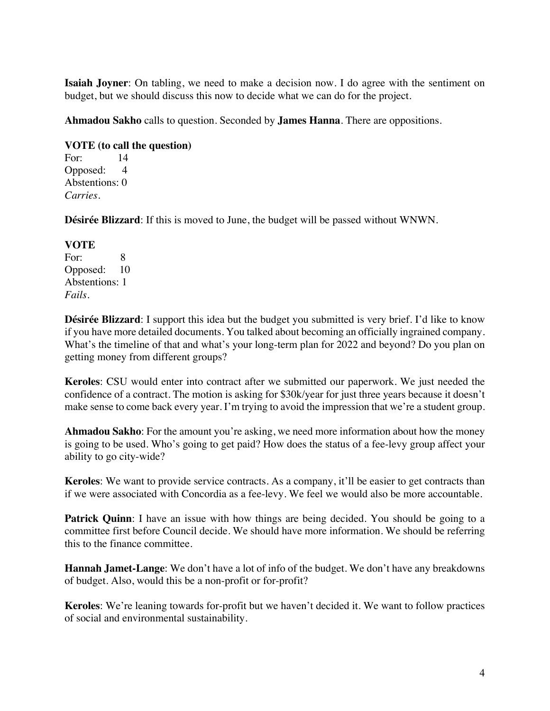**Isaiah Joyner**: On tabling, we need to make a decision now. I do agree with the sentiment on budget, but we should discuss this now to decide what we can do for the project.

**Ahmadou Sakho** calls to question. Seconded by **James Hanna**. There are oppositions.

#### **VOTE (to call the question)**

For: 14 Opposed: 4 Abstentions: 0 *Carries.* 

**Désirée Blizzard**: If this is moved to June, the budget will be passed without WNWN.

#### **VOTE**

For: 8 Opposed: 10 Abstentions: 1 *Fails.* 

**Désirée Blizzard**: I support this idea but the budget you submitted is very brief. I'd like to know if you have more detailed documents. You talked about becoming an officially ingrained company. What's the timeline of that and what's your long-term plan for 2022 and beyond? Do you plan on getting money from different groups?

**Keroles**: CSU would enter into contract after we submitted our paperwork. We just needed the confidence of a contract. The motion is asking for \$30k/year for just three years because it doesn't make sense to come back every year. I'm trying to avoid the impression that we're a student group.

**Ahmadou Sakho**: For the amount you're asking, we need more information about how the money is going to be used. Who's going to get paid? How does the status of a fee-levy group affect your ability to go city-wide?

**Keroles**: We want to provide service contracts. As a company, it'll be easier to get contracts than if we were associated with Concordia as a fee-levy. We feel we would also be more accountable.

**Patrick Quinn**: I have an issue with how things are being decided. You should be going to a committee first before Council decide. We should have more information. We should be referring this to the finance committee.

**Hannah Jamet-Lange**: We don't have a lot of info of the budget. We don't have any breakdowns of budget. Also, would this be a non-profit or for-profit?

**Keroles**: We're leaning towards for-profit but we haven't decided it. We want to follow practices of social and environmental sustainability.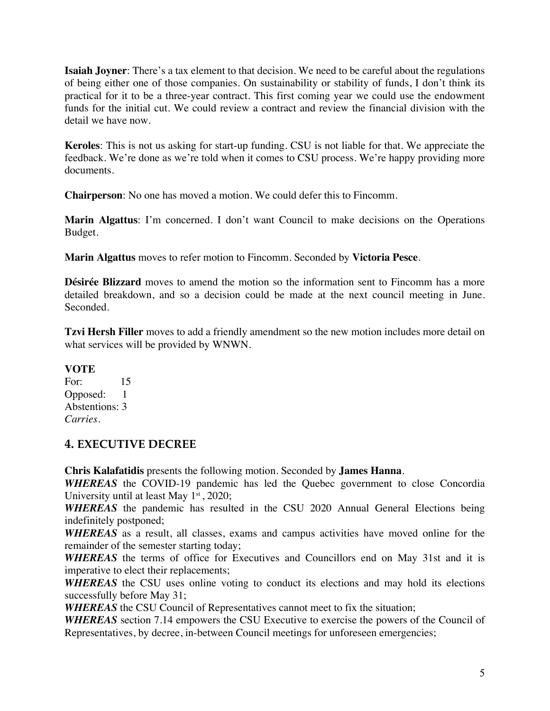**Isaiah Joyner**: There's a tax element to that decision. We need to be careful about the regulations of being either one of those companies. On sustainability or stability of funds, I don't think its practical for it to be a three-year contract. This first coming year we could use the endowment funds for the initial cut. We could review a contract and review the financial division with the detail we have now.

**Keroles**: This is not us asking for start-up funding. CSU is not liable for that. We appreciate the feedback. We're done as we're told when it comes to CSU process. We're happy providing more documents.

**Chairperson**: No one has moved a motion. We could defer this to Fincomm.

**Marin Algattus**: I'm concerned. I don't want Council to make decisions on the Operations Budget.

**Marin Algattus** moves to refer motion to Fincomm. Seconded by **Victoria Pesce**.

**Désirée Blizzard** moves to amend the motion so the information sent to Fincomm has a more detailed breakdown, and so a decision could be made at the next council meeting in June. Seconded.

**Tzvi Hersh Filler** moves to add a friendly amendment so the new motion includes more detail on what services will be provided by WNWN.

#### **VOTE**

For: 15 Opposed: 1 Abstentions: 3 *Carries.* 

### **4. EXECUTIVE DECREE**

**Chris Kalafatidis** presents the following motion. Seconded by **James Hanna**.

*WHEREAS* the COVID-19 pandemic has led the Quebec government to close Concordia University until at least May  $1<sup>st</sup>$ , 2020;

*WHEREAS* the pandemic has resulted in the CSU 2020 Annual General Elections being indefinitely postponed;

*WHEREAS* as a result, all classes, exams and campus activities have moved online for the remainder of the semester starting today;

*WHEREAS* the terms of office for Executives and Councillors end on May 31st and it is imperative to elect their replacements;

*WHEREAS* the CSU uses online voting to conduct its elections and may hold its elections successfully before May 31;

*WHEREAS* the CSU Council of Representatives cannot meet to fix the situation;

*WHEREAS* section 7.14 empowers the CSU Executive to exercise the powers of the Council of Representatives, by decree, in-between Council meetings for unforeseen emergencies;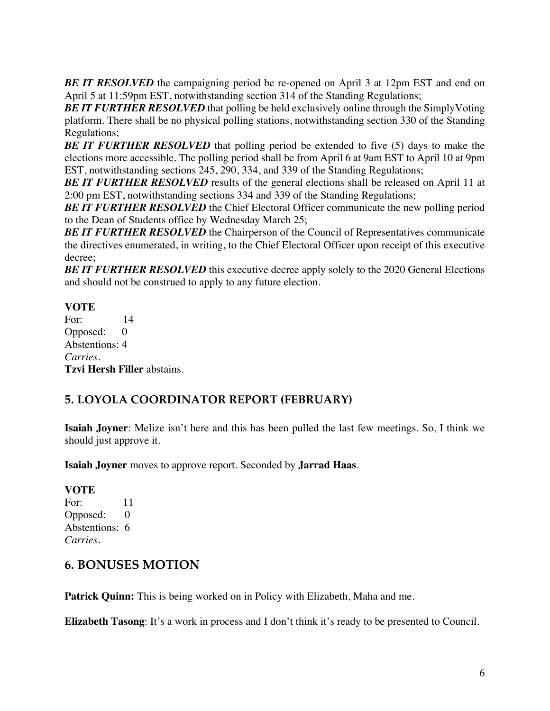**BE IT RESOLVED** the campaigning period be re-opened on April 3 at 12pm EST and end on April 5 at 11:59pm EST, notwithstanding section 314 of the Standing Regulations;

**BE IT FURTHER RESOLVED** that polling be held exclusively online through the SimplyVoting platform. There shall be no physical polling stations, notwithstanding section 330 of the Standing Regulations;

**BE IT FURTHER RESOLVED** that polling period be extended to five (5) days to make the elections more accessible. The polling period shall be from April 6 at 9am EST to April 10 at 9pm EST, notwithstanding sections 245, 290, 334, and 339 of the Standing Regulations;

**BE IT FURTHER RESOLVED** results of the general elections shall be released on April 11 at 2:00 pm EST, notwithstanding sections 334 and 339 of the Standing Regulations;

**BE IT FURTHER RESOLVED** the Chief Electoral Officer communicate the new polling period to the Dean of Students office by Wednesday March 25;

**BE IT FURTHER RESOLVED** the Chairperson of the Council of Representatives communicate the directives enumerated, in writing, to the Chief Electoral Officer upon receipt of this executive decree;

**BE IT FURTHER RESOLVED** this executive decree apply solely to the 2020 General Elections and should not be construed to apply to any future election.

### **VOTE**

For: 14 Opposed: 0 Abstentions: 4 *Carries.*  **Tzvi Hersh Filler** abstains.

## **5. LOYOLA COORDINATOR REPORT (FEBRUARY)**

**Isaiah Joyner**: Melize isn't here and this has been pulled the last few meetings. So, I think we should just approve it.

**Isaiah Joyner** moves to approve report. Seconded by **Jarrad Haas**.

#### **VOTE**

For: 11 Opposed: 0 Abstentions: 6 *Carries.* 

### **6. BONUSES MOTION**

**Patrick Quinn:** This is being worked on in Policy with Elizabeth, Maha and me.

**Elizabeth Tasong**: It's a work in process and I don't think it's ready to be presented to Council.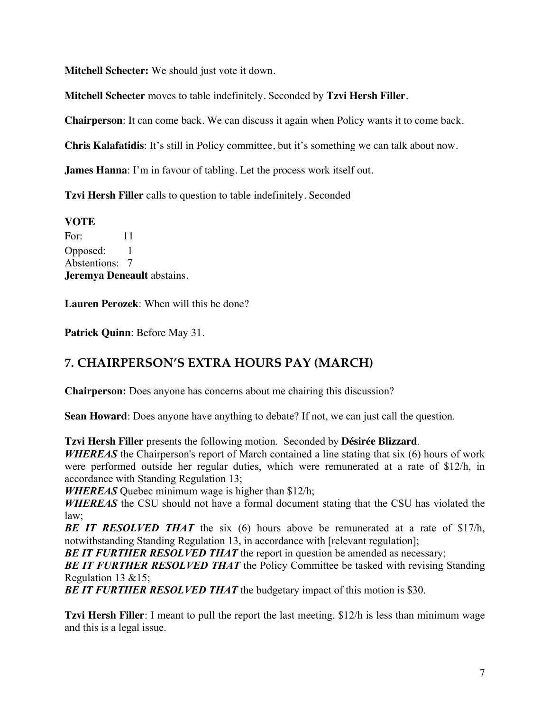**Mitchell Schecter:** We should just vote it down.

**Mitchell Schecter** moves to table indefinitely. Seconded by **Tzvi Hersh Filler**.

**Chairperson**: It can come back. We can discuss it again when Policy wants it to come back.

**Chris Kalafatidis**: It's still in Policy committee, but it's something we can talk about now.

**James Hanna**: I'm in favour of tabling. Let the process work itself out.

**Tzvi Hersh Filler** calls to question to table indefinitely. Seconded

**VOTE** For: 11 Opposed: 1 Abstentions: 7 **Jeremya Deneault** abstains.

**Lauren Perozek**: When will this be done?

**Patrick Quinn**: Before May 31.

## **7. CHAIRPERSON'S EXTRA HOURS PAY (MARCH)**

**Chairperson:** Does anyone has concerns about me chairing this discussion?

**Sean Howard**: Does anyone have anything to debate? If not, we can just call the question.

**Tzvi Hersh Filler** presents the following motion. Seconded by **Désirée Blizzard**.

*WHEREAS* the Chairperson's report of March contained a line stating that six (6) hours of work were performed outside her regular duties, which were remunerated at a rate of \$12/h, in accordance with Standing Regulation 13;

*WHEREAS* Quebec minimum wage is higher than \$12/h;

*WHEREAS* the CSU should not have a formal document stating that the CSU has violated the law;

**BE IT RESOLVED THAT** the six (6) hours above be remunerated at a rate of \$17/h, notwithstanding Standing Regulation 13, in accordance with [relevant regulation];

**BE IT FURTHER RESOLVED THAT** the report in question be amended as necessary;

*BE IT FURTHER RESOLVED THAT* the Policy Committee be tasked with revising Standing Regulation 13 &15;

**BE IT FURTHER RESOLVED THAT** the budgetary impact of this motion is \$30.

**Tzvi Hersh Filler**: I meant to pull the report the last meeting. \$12/h is less than minimum wage and this is a legal issue.